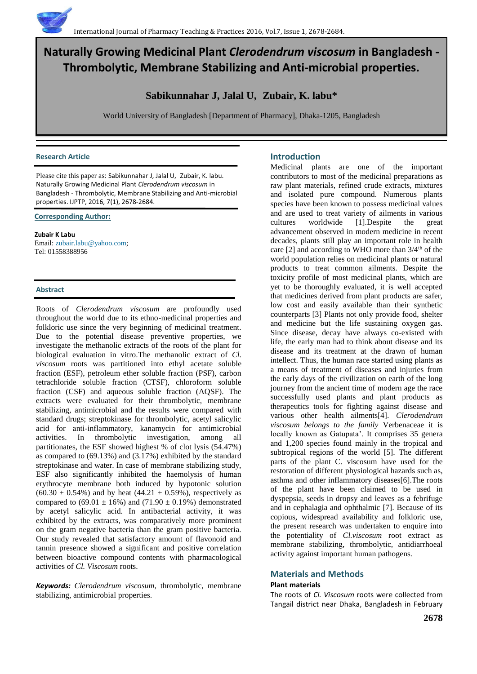# **Naturally Growing Medicinal Plant** *Clerodendrum viscosum* **in Bangladesh - Thrombolytic, Membrane Stabilizing and Anti-microbial properties.**

## **Sabikunnahar J, Jalal U, Zubair, K. labu\***

World University of Bangladesh [Department of Pharmacy], Dhaka-1205, Bangladesh

#### **Research Article**

Please cite this paper as: Sabikunnahar J, Jalal U, Zubair, K. labu. Naturally Growing Medicinal Plant *Clerodendrum viscosum* in Bangladesh - Thrombolytic, Membrane Stabilizing and Anti-microbial properties. IJPTP, 2016, 7(1), 2678-2684.

#### **Corresponding Author:**

**Zubair K Labu** Email[: zubair.labu@yahoo.com;](mailto:zubair.labu@yahoo.com) Tel: 01558388956

## **Abstract**

Roots of *Clerodendrum viscosum* are profoundly used throughout the world due to its ethno-medicinal properties and folkloric use since the very beginning of medicinal treatment. Due to the potential disease preventive properties, we investigate the methanolic extracts of the roots of the plant for biological evaluation in vitro.The methanolic extract of *Cl. viscosum* roots was partitioned into ethyl acetate soluble fraction (ESF), petroleum ether soluble fraction (PSF), carbon tetrachloride soluble fraction (CTSF), chloroform soluble fraction (CSF) and aqueous soluble fraction (AQSF). The extracts were evaluated for their thrombolytic, membrane stabilizing, antimicrobial and the results were compared with standard drugs; streptokinase for thrombolytic, acetyl salicylic acid for anti-inflammatory, kanamycin for antimicrobial activities. In thrombolytic investigation, among all partitionates, the ESF showed highest % of clot lysis (54.47%) as compared to (69.13%) and (3.17%) exhibited by the standard streptokinase and water. In case of membrane stabilizing study, ESF also significantly inhibited the haemolysis of human erythrocyte membrane both induced by hypotonic solution  $(60.30 \pm 0.54\%)$  and by heat  $(44.21 \pm 0.59\%)$ , respectively as compared to  $(69.01 \pm 16%)$  and  $(71.90 \pm 0.19%)$  demonstrated by acetyl salicylic acid. In antibacterial activity, it was exhibited by the extracts, was comparatively more prominent on the gram negative bacteria than the gram positive bacteria. Our study revealed that satisfactory amount of flavonoid and tannin presence showed a significant and positive correlation between bioactive compound contents with pharmacological activities of *Cl. Viscosum* roots.

*Keywords: Clerodendrum viscosum*, thrombolytic, membrane stabilizing, antimicrobial properties.

## **Introduction**

Medicinal plants are one of the important contributors to most of the medicinal preparations as raw plant materials, refined crude extracts, mixtures and isolated pure compound. Numerous plants species have been known to possess medicinal values and are used to treat variety of ailments in various cultures worldwide [1].Despite the great advancement observed in modern medicine in recent decades, plants still play an important role in health care [2] and according to WHO more than  $3/4<sup>th</sup>$  of the world population relies on medicinal plants or natural products to treat common ailments. Despite the toxicity profile of most medicinal plants, which are yet to be thoroughly evaluated, it is well accepted that medicines derived from plant products are safer, low cost and easily available than their synthetic counterparts [3] Plants not only provide food, shelter and medicine but the life sustaining oxygen gas. Since disease, decay have always co-existed with life, the early man had to think about disease and its disease and its treatment at the drawn of human intellect. Thus, the human race started using plants as a means of treatment of diseases and injuries from the early days of the civilization on earth of the long journey from the ancient time of modern age the race successfully used plants and plant products as therapeutics tools for fighting against disease and various other health ailments[4]. *Clerodendrum viscosum belongs to the family* Verbenaceae it is locally known as Gatupata'. It comprises 35 genera and 1,200 species found mainly in the tropical and subtropical regions of the world [5]. The different parts of the plant C. viscosum have used for the restoration of different physiological hazards such as, asthma and other inflammatory diseases[6].The roots of the plant have been claimed to be used in dyspepsia, seeds in dropsy and leaves as a febrifuge and in cephalagia and ophthalmic [7]. Because of its copious, widespread availability and folkloric use, the present research was undertaken to enquire into the potentiality of *Cl.viscosum* root extract as membrane stabilizing, thrombolytic, antidiarrhoeal activity against important human pathogens.

## **Materials and Methods**

#### **Plant materials**

The roots of *Cl. Viscosum* roots were collected from Tangail district near Dhaka, Bangladesh in February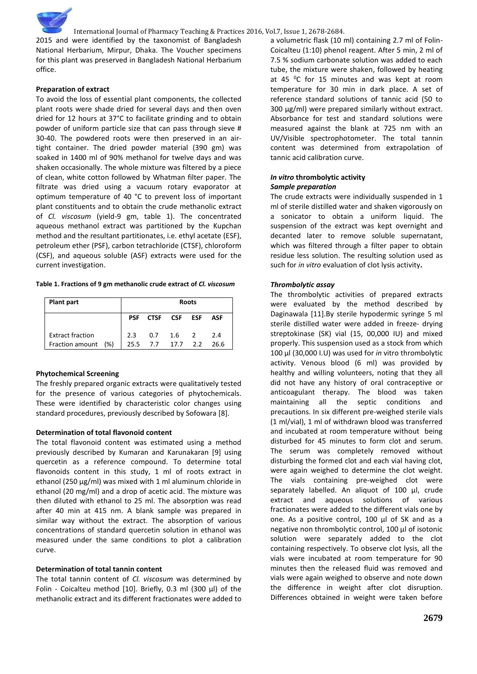

2015 and were identified by the taxonomist of Bangladesh National Herbarium, Mirpur, Dhaka. The Voucher specimens for this plant was preserved in Bangladesh National Herbarium office.

#### **Preparation of extract**

To avoid the loss of essential plant components, the collected plant roots were shade dried for several days and then oven dried for 12 hours at 37°C to facilitate grinding and to obtain powder of uniform particle size that can pass through sieve # 30-40. The powdered roots were then preserved in an airtight container. The dried powder material (390 gm) was soaked in 1400 ml of 90% methanol for twelve days and was shaken occasionally. The whole mixture was filtered by a piece of clean, white cotton followed by Whatman filter paper. The filtrate was dried using a vacuum rotary evaporator at optimum temperature of 40 °C to prevent loss of important plant constituents and to obtain the crude methanolic extract of *Cl. viscosum* (yield-9 gm, table 1). The concentrated aqueous methanol extract was partitioned by the Kupchan method and the resultant partitionates, i.e. ethyl acetate (ESF), petroleum ether (PSF), carbon tetrachloride (CTSF), chloroform (CSF), and aqueous soluble (ASF) extracts were used for the current investigation.

#### **Table 1. Fractions of 9 gm methanolic crude extract of** *Cl. viscosum*

| <b>Roots</b> |      |  |          |                                             |
|--------------|------|--|----------|---------------------------------------------|
| <b>PSF</b>   |      |  |          | ASF                                         |
| 2.3          |      |  |          | 2.4<br>26.6                                 |
|              | 25.5 |  | CTSF CSF | <b>ESF</b><br>$0.7$ 1.6 2<br>$7.7$ 17.7 2.2 |

#### **Phytochemical Screening**

The freshly prepared organic extracts were qualitatively tested for the presence of various categories of phytochemicals. These were identified by characteristic color changes using standard procedures, previously described by Sofowara [8].

#### **Determination of total flavonoid content**

The total flavonoid content was estimated using a method previously described by Kumaran and Karunakaran [9] using quercetin as a reference compound. To determine total flavonoids content in this study, 1 ml of roots extract in ethanol (250 μg/ml) was mixed with 1 ml aluminum chloride in ethanol (20 mg/ml) and a drop of acetic acid. The mixture was then diluted with ethanol to 25 ml. The absorption was read after 40 min at 415 nm. A blank sample was prepared in similar way without the extract. The absorption of various concentrations of standard quercetin solution in ethanol was measured under the same conditions to plot a calibration curve.

#### **Determination of total tannin content**

The total tannin content of *Cl. viscosum* was determined by Folin - Coicalteu method [10]. Briefly, 0.3 ml (300 µl) of the methanolic extract and its different fractionates were added to a volumetric flask (10 ml) containing 2.7 ml of Folin-Coicalteu (1:10) phenol reagent. After 5 min, 2 ml of 7.5 % sodium carbonate solution was added to each tube, the mixture were shaken, followed by heating at 45 $\degree$ C for 15 minutes and was kept at room temperature for 30 min in dark place. A set of reference standard solutions of tannic acid (50 to 300 μg/ml) were prepared similarly without extract. Absorbance for test and standard solutions were measured against the blank at 725 nm with an UV/Visible spectrophotometer. The total tannin content was determined from extrapolation of tannic acid calibration curve.

#### *In vitro* **thrombolytic activity**  *Sample preparation*

The crude extracts were individually suspended in 1 ml of sterile distilled water and shaken vigorously on a sonicator to obtain a uniform liquid. The suspension of the extract was kept overnight and decanted later to remove soluble supernatant, which was filtered through a filter paper to obtain residue less solution. The resulting solution used as such for *in vitro* evaluation of clot lysis activity**.**

#### *Thrombolytic assay*

The thrombolytic activities of prepared extracts were evaluated by the method described by Daginawala [11].By sterile hypodermic syringe 5 ml sterile distilled water were added in freeze- drying streptokinase (SK) vial (15, 00,000 IU) and mixed properly. This suspension used as a stock from which 100 µl (30,000 I.U) was used for *in* vitro thrombolytic activity. Venous blood (6 ml) was provided by healthy and willing volunteers, noting that they all did not have any history of oral contraceptive or anticoagulant therapy. The blood was taken maintaining all the septic conditions and precautions. In six different pre-weighed sterile vials (1 ml/vial), 1 ml of withdrawn blood was transferred and incubated at room temperature without being disturbed for 45 minutes to form clot and serum. The serum was completely removed without disturbing the formed clot and each vial having clot, were again weighed to determine the clot weight. The vials containing pre-weighed clot were separately labelled. An aliquot of 100 μl, crude extract and aqueous solutions of various fractionates were added to the different vials one by one. As a positive control, 100 μl of SK and as a negative non thrombolytic control, 100 μl of isotonic solution were separately added to the clot containing respectively. To observe clot lysis, all the vials were incubated at room temperature for 90 minutes then the released fluid was removed and vials were again weighed to observe and note down the difference in weight after clot disruption. Differences obtained in weight were taken before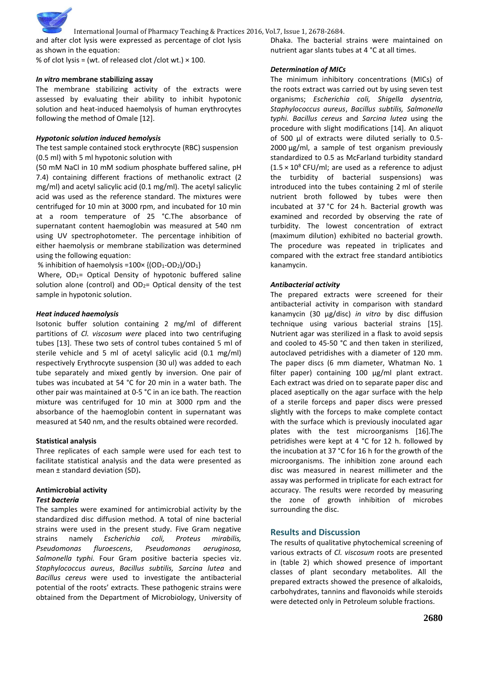

International Journal of Pharmacy Teaching & Practices 2016, Vol.7, Issue 1, 2678-2684.

and after clot lysis were expressed as percentage of clot lysis as shown in the equation:

% of clot lysis = (wt. of released clot /clot wt.)  $\times$  100.

#### *In vitro* **membrane stabilizing assay**

The membrane stabilizing activity of the extracts were assessed by evaluating their ability to inhibit hypotonic solution and heat-induced haemolysis of human erythrocytes following the method of Omale [12].

#### *Hypotonic solution induced hemolysis*

The test sample contained stock erythrocyte (RBC) suspension (0.5 ml) with 5 ml hypotonic solution with

(50 mM NaCl in 10 mM sodium phosphate buffered saline, pH 7.4) containing different fractions of methanolic extract (2 mg/ml) and acetyl salicylic acid (0.1 mg/ml). The acetyl salicylic acid was used as the reference standard. The mixtures were centrifuged for 10 min at 3000 rpm, and incubated for 10 min at a room temperature of 25 °C.The absorbance of supernatant content haemoglobin was measured at 540 nm using UV spectrophotometer. The percentage inhibition of either haemolysis or membrane stabilization was determined using the following equation:

% inhibition of haemolysis = $100 \times \{(OD_1\text{-}OD_2)/OD_1\}$ 

Where, OD<sub>1</sub>= Optical Density of hypotonic buffered saline solution alone (control) and  $OD<sub>2</sub>=$  Optical density of the test sample in hypotonic solution.

#### *Heat induced haemolysis*

Isotonic buffer solution containing 2 mg/ml of different partitions of *Cl. viscosum were* placed into two centrifuging tubes [13]. These two sets of control tubes contained 5 ml of sterile vehicle and 5 ml of acetyl salicylic acid (0.1 mg/ml) respectively Erythrocyte suspension (30 ul) was added to each tube separately and mixed gently by inversion. One pair of tubes was incubated at 54 °C for 20 min in a water bath. The other pair was maintained at 0-5 °C in an ice bath. The reaction mixture was centrifuged for 10 min at 3000 rpm and the absorbance of the haemoglobin content in supernatant was measured at 540 nm, and the results obtained were recorded.

#### **Statistical analysis**

Three replicates of each sample were used for each test to facilitate statistical analysis and the data were presented as mean ± standard deviation (SD)**.**

#### **Antimicrobial activity** *Test bacteria*

The samples were examined for antimicrobial activity by the standardized disc diffusion method. A total of nine bacterial strains were used in the present study. Five Gram negative strains namely *Escherichia coli, Proteus mirabilis, Pseudomonas fluroescens*, *Pseudomonas aeruginosa, Salmonella typhi.* Four Gram positive bacteria species viz. *Staphylococcus aureus*, *Bacillus subtilis, Sarcina lutea* and *Bacillus cereus* were used to investigate the antibacterial potential of the roots' extracts. These pathogenic strains were obtained from the Department of Microbiology, University of Dhaka. The bacterial strains were maintained on nutrient agar slants tubes at 4 °C at all times.

#### *Determination of MICs*

The minimum inhibitory concentrations (MICs) of the roots extract was carried out by using seven test organisms; *Escherichia coli, Shigella dysentria, Staphylococcus aureus*, *Bacillus subtilis, Salmonella typhi. Bacillus cereus* and *Sarcina lutea* using the procedure with slight modifications [14]. An aliquot of 500 µl of extracts were diluted serially to 0.5- 2000 µg/ml, a sample of test organism previously standardized to 0.5 as McFarland turbidity standard  $(1.5 \times 10^8 \text{ CFU/ml})$ ; are used as a reference to adjust the [turbidity](https://en.wikipedia.org/wiki/Turbidity) of bacterial suspensions) was introduced into the tubes containing 2 ml of sterile nutrient broth followed by tubes were then incubated at 37 °C for 24 h. Bacterial growth was examined and recorded by observing the rate of turbidity. The lowest concentration of extract (maximum dilution) exhibited no bacterial growth. The procedure was repeated in triplicates and compared with the extract free standard antibiotics kanamycin.

#### *Antibacterial activity*

The prepared extracts were screened for their antibacterial activity in comparison with standard kanamycin (30 µg/disc) *in vitro* by disc diffusion technique using various bacterial strains [15]. Nutrient agar was sterilized in a flask to avoid sepsis and cooled to 45-50 °C and then taken in sterilized, autoclaved petridishes with a diameter of 120 mm. The paper discs (6 mm diameter, Whatman No. 1 filter paper) containing 100 µg/ml plant extract. Each extract was dried on to separate paper disc and placed aseptically on the agar surface with the help of a sterile forceps and paper discs were pressed slightly with the forceps to make complete contact with the surface which is previously inoculated agar plates with the test microorganisms [16].The petridishes were kept at 4 °C for 12 h. followed by the incubation at 37 °C for 16 h for the growth of the microorganisms. The inhibition zone around each disc was measured in nearest millimeter and the assay was performed in triplicate for each extract for accuracy. The results were recorded by measuring the zone of growth inhibition of microbes surrounding the disc.

#### **Results and Discussion**

The results of qualitative phytochemical screening of various extracts of *Cl. viscosum* roots are presented in (table 2) which showed presence of important classes of plant secondary metabolites. All the prepared extracts showed the presence of alkaloids, carbohydrates, tannins and flavonoids while steroids were detected only in Petroleum soluble fractions.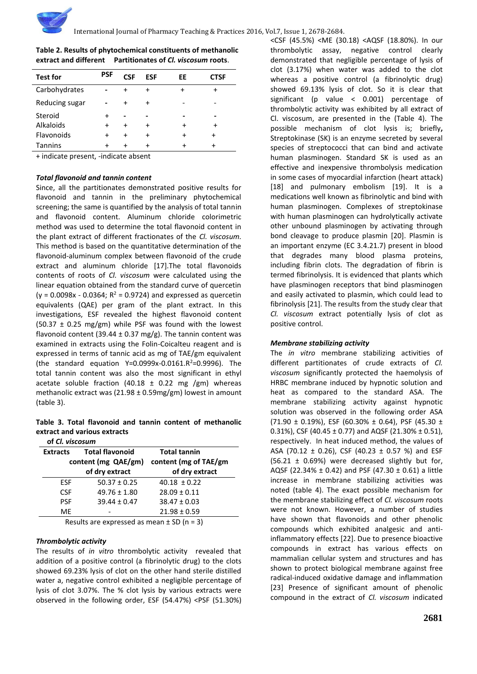| <b>Test for</b> | <b>PSF</b> | CSF         | <b>ESF</b>  | EE        | CTSF |
|-----------------|------------|-------------|-------------|-----------|------|
| Carbohydrates   |            |             | $\ddot{}$   | $\ddot{}$ |      |
| Reducing sugar  |            |             | $\mathbf +$ |           |      |
| Steroid         | $\ddot{}$  |             |             |           |      |
| Alkaloids       |            | $\mathbf +$ | $\ddot{}$   | +         |      |
| Flavonoids      |            |             | $\ddot{}$   |           |      |
| <b>Tannins</b>  |            |             |             |           |      |
|                 |            |             |             |           |      |

**Table 2. Results of phytochemical constituents of methanolic extract and different Partitionates of** *Cl. viscosum* **roots**.

+ indicate present, -indicate absent

#### *Total flavonoid and tannin content*

Since, all the partitionates demonstrated positive results for flavonoid and tannin in the preliminary phytochemical screening; the same is quantified by the analysis of total tannin and flavonoid content. Aluminum chloride colorimetric method was used to determine the total flavonoid content in the plant extract of different fractionates of the *Cl. viscosum.*  This method is based on the quantitative determination of the flavonoid-aluminum complex between flavonoid of the crude extract and aluminum chloride [17].The total flavonoids contents of roots of *Cl. viscosum* were calculated using the linear equation obtained from the standard curve of quercetin  $(y = 0.0098x - 0.0364; R^2 = 0.9724)$  and expressed as quercetin equivalents (QAE) per gram of the plant extract. In this investigations, ESF revealed the highest flavonoid content (50.37  $\pm$  0.25 mg/gm) while PSF was found with the lowest flavonoid content (39.44  $\pm$  0.37 mg/g). The tannin content was examined in extracts using the Folin-Coicalteu reagent and is expressed in terms of tannic acid as mg of TAE/gm equivalent (the standard equation  $Y=0.0999x-0.0161.R^2=0.9996$ ). The total tannin content was also the most significant in ethyl acetate soluble fraction (40.18  $\pm$  0.22 mg /gm) whereas methanolic extract was  $(21.98 \pm 0.59 \text{mg/gm})$  lowest in amount (table 3).

**Table 3. Total flavonoid and tannin content of methanolic extract and various extracts**

| of Cl. viscosum     |                        |                       |  |  |
|---------------------|------------------------|-----------------------|--|--|
| <b>Extracts</b>     | <b>Total flavonoid</b> | <b>Total tannin</b>   |  |  |
| content (mg QAE/gm) |                        | content (mg of TAE/gm |  |  |
|                     | of dry extract         | of dry extract        |  |  |
| ESF.                | $50.37 \pm 0.25$       | $40.18 \pm 0.22$      |  |  |
| <b>CSF</b>          | $49.76 \pm 1.80$       | $28.09 \pm 0.11$      |  |  |
| <b>PSF</b>          | $39.44 \pm 0.47$       | $38.47 \pm 0.03$      |  |  |
| ME                  |                        | $21.98 \pm 0.59$      |  |  |
| $D = 1$             |                        |                       |  |  |

Results are expressed as mean  $\pm$  SD (n = 3)

#### *Thrombolytic activity*

The results of *in vitro* thrombolytic activity revealed that addition of a positive control (a fibrinolytic drug) to the clots showed 69.23% lysis of clot on the other hand sterile distilled water a, negative control exhibited a negligible percentage of lysis of clot 3.07%. The % clot lysis by various extracts were observed in the following order, ESF (54.47%) <PSF (51.30%)

<CSF (45.5%) <ME (30.18) <AQSF (18.80%). In our thrombolytic assay, negative control clearly demonstrated that negligible percentage of lysis of clot (3.17%) when water was added to the clot whereas a positive control (a fibrinolytic drug) showed 69.13% lysis of clot. So it is clear that significant (p value < 0.001) percentage of thrombolytic activity was exhibited by all extract of Cl. viscosum, are presented in the (Table 4). The possible mechanism of clot lysis is; briefly**,** Streptokinase (SK) is an [enzyme](https://en.wikipedia.org/wiki/Enzyme) secreted by several species of [streptococci](https://en.wikipedia.org/wiki/Streptococci) that can bind and activate human plasminogen. Standard SK is used as an effective and inexpensive [thrombolysis](https://en.wikipedia.org/wiki/Thrombolysis) [medication](https://en.wikipedia.org/wiki/Medication) in some cases of [myocardial infarction](https://en.wikipedia.org/wiki/Myocardial_infarction) (heart attack) [18] and [pulmonary embolism \[](https://en.wikipedia.org/wiki/Pulmonary_embolism)19]. It is a medications well known as [fibrinolytic](https://en.wikipedia.org/wiki/Fibrinolytics) and bind with human plasminogen. Complexes of streptokinase with human plasminogen can hydrolytically activate other unbound plasminogen by activating through [bond cleavage](https://en.wikipedia.org/wiki/Bond_cleavage) to produce [plasmin \[](https://en.wikipedia.org/wiki/Plasmin)20]. Plasmin is an important [enzyme](https://en.wikipedia.org/wiki/Enzyme) [\(EC](https://en.wikipedia.org/wiki/Enzyme_Commission_number) [3.4.21.7\)](http://enzyme.expasy.org/EC/3.4.21.7) present in [blood](https://en.wikipedia.org/wiki/Blood) that degrades many [blood plasma](https://en.wikipedia.org/wiki/Blood_plasma) proteins, including [fibrin](https://en.wikipedia.org/wiki/Fibrin) [clots.](https://en.wikipedia.org/wiki/Thrombus) The degradation of fibrin is termed fibrinolysis. It is evidenced that plants which have plasminogen receptors that bind plasminogen and easily activated to plasmin, which could lead to fibrinolysis [21]. The results from the study clear that *Cl. viscosum* extract potentially lysis of clot as positive control.

## *Membrane stabilizing activity*

The *in vitro* membrane stabilizing activities of different partitionates of crude extracts of *Cl. viscosum* significantly protected the haemolysis of HRBC membrane induced by hypnotic solution and heat as compared to the standard ASA. The membrane stabilizing activity against hypnotic solution was observed in the following order ASA (71.90  $\pm$  0.19%), ESF (60.30%  $\pm$  0.64), PSF (45.30  $\pm$ 0.31%), CSF (40.45  $\pm$  0.77) and AQSF (21.30%  $\pm$  0.51), respectively. In heat induced method, the values of ASA (70.12  $\pm$  0.26), CSF (40.23  $\pm$  0.57 %) and ESF (56.21  $\pm$  0.69%) were decreased slightly but for, AQSF (22.34%  $\pm$  0.42) and PSF (47.30  $\pm$  0.61) a little increase in membrane stabilizing activities was noted (table 4). The exact possible mechanism for the membrane stabilizing effect of *Cl. viscosum* roots were not known. However, a number of studies have shown that flavonoids and other phenolic compounds which exhibited analgesic and antiinflammatory effects [22]. Due to presence bioactive compounds in extract has various effects on mammalian cellular system and structures and has shown to protect biological membrane against free radical-induced oxidative damage and inflammation [23] Presence of significant amount of phenolic compound in the extract of *Cl. viscosum* indicated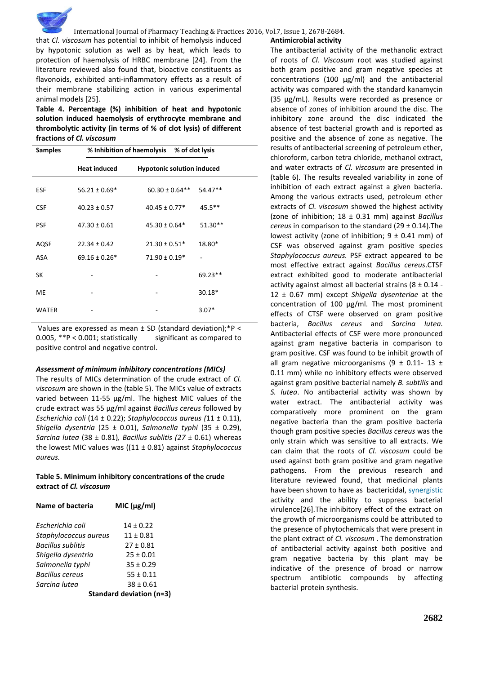

International Journal of Pharmacy Teaching & Practices 2016, Vol.7, Issue 1, 2678-2684.

that *Cl. viscosum* has potential to inhibit of hemolysis induced by hypotonic solution as well as by heat, which leads to protection of haemolysis of HRBC membrane [24]. From the literature reviewed also found that, bioactive constituents as flavonoids, exhibited anti-inflammatory effects as a result of their membrane stabilizing action in various experimental animal models [25].

**Table 4. Percentage (%) inhibition of heat and hypotonic solution induced haemolysis of erythrocyte membrane and thrombolytic activity (in terms of % of clot lysis) of different fractions of** *Cl. viscosum* 

| <b>Samples</b> | % Inhibition of haemolysis<br>% of clot lysis |                                   |           |  |  |
|----------------|-----------------------------------------------|-----------------------------------|-----------|--|--|
|                | <b>Heat induced</b>                           | <b>Hypotonic solution induced</b> |           |  |  |
| ESF            | $56.21 \pm 0.69*$                             | $60.30 \pm 0.64$ **               | 54.47**   |  |  |
| <b>CSF</b>     | $40.23 \pm 0.57$                              | $40.45 \pm 0.77*$                 | $45.5***$ |  |  |
| <b>PSF</b>     | $47.30 \pm 0.61$                              | $45.30 \pm 0.64*$                 | 51.30**   |  |  |
| <b>AQSF</b>    | $22.34 \pm 0.42$                              | $21.30 \pm 0.51*$                 | 18.80*    |  |  |
| ASA            | $69.16 \pm 0.26*$                             | $71.90 \pm 0.19*$                 |           |  |  |
| SK             |                                               |                                   | 69.23**   |  |  |
| <b>ME</b>      |                                               |                                   | 30.18*    |  |  |
| WATER          |                                               |                                   | $3.07*$   |  |  |

Values are expressed as mean  $\pm$  SD (standard deviation);\*P < 0.005, \*\*P < 0.001; statistically significant as compared to positive control and negative control.

#### *Assessment of minimum inhibitory concentrations (MICs)*

The results of MICs determination of the crude extract of *Cl. viscosum* are shown in the (table 5). The MICs value of extracts varied between 11-55 μg/ml. The highest MIC values of the crude extract was 55 μg/ml against *Bacillus cereus* followed by *Escherichia coli* (14 ± 0.22); *Staphylococcus aureus (*11 ± 0.11), *Shigella dysentria* (25 ± 0.01), *Salmonella typhi* (35 ± 0.29), *Sarcina lutea* (38 ± 0.81)*, Bacillus sublitis (27* ± 0.61) whereas the lowest MIC values was ((11 ± 0.81) against *Staphylococcus aureus.* 

#### **Table 5. Minimum inhibitory concentrations of the crude extract of** *Cl. viscosum*

| Name of bacteria         | MIC (µg/ml)                    |  |  |
|--------------------------|--------------------------------|--|--|
| Escherichia coli         | $14 \pm 0.22$                  |  |  |
| Staphylococcus aureus    | $11 \pm 0.81$                  |  |  |
| <b>Bacillus sublitis</b> | $27 \pm 0.81$                  |  |  |
| Shigella dysentria       | $25 \pm 0.01$                  |  |  |
| Salmonella typhi         | $35 \pm 0.29$                  |  |  |
| <b>Bacillus cereus</b>   | $55 \pm 0.11$                  |  |  |
| Sarcina lutea            | $38 \pm 0.61$                  |  |  |
|                          | <b>Standard deviation (n=3</b> |  |  |

**Standard deviation (n=3)**

#### **Antimicrobial activity**

The antibacterial activity of the methanolic extract of roots of *Cl. Viscosum* root was studied against both gram positive and gram negative species at concentrations (100 µg/ml) and the antibacterial activity was compared with the standard kanamycin (35 µg/mL). Results were recorded as presence or absence of zones of inhibition around the disc. The inhibitory zone around the disc indicated the absence of test bacterial growth and is reported as positive and the absence of zone as negative. The results of antibacterial screening of petroleum ether, chloroform, carbon tetra chloride, methanol extract, and water extracts of *Cl. viscosum* are presented in (table 6). The results revealed variability in zone of inhibition of each extract against a given bacteria. Among the various extracts used, petroleum ether extracts of *Cl. viscosum* showed the highest activity (zone of inhibition; 18 ± 0.31 mm) against *Bacillus cereus* in comparison to the standard (29 ± 0.14).The lowest activity (zone of inhibition;  $9 \pm 0.41$  mm) of CSF was observed against gram positive species *Staphylococcus aureus.* PSF extract appeared to be most effective extract against *Bacillus cereus*.CTSF extract exhibited good to moderate antibacterial activity against almost all bacterial strains  $(8 \pm 0.14 -$ 12 ± 0.67 mm) except *Shigella dysenteriae* at the concentration of 100 µg/ml. The most prominent effects of CTSF were observed on gram positive bacteria, *Bacillus cereus* and *Sarcina lutea.* Antibacterial effects of CSF were more pronounced against gram negative bacteria in comparison to gram positive. CSF was found to be inhibit growth of all gram negative microorganisms (9  $\pm$  0.11- 13  $\pm$ 0.11 mm) while no inhibitory effects were observed against gram positive bacterial namely *B. subtilis* and *S. lutea*. No antibacterial activity was shown by water extract. The antibacterial activity was comparatively more prominent on the gram negative bacteria than the gram positive bacteria though gram positive species *Bacillus cereus* was the only strain which was sensitive to all extracts. We can claim that the roots of *Cl. viscosum* could be used against both gram positive and gram negative pathogens. From the previous research and literature reviewed found, that medicinal plants have been shown to have as bactericidal, [synergistic](https://en.wikipedia.org/wiki/Synergistic) activity and the ability to suppress bacterial virulence[26].The inhibitory effect of the extract on the growth of microorganisms could be attributed to the presence of phytochemicals that were present in the plant extract of *Cl. viscosum* . The demonstration of antibacterial activity against both positive and gram negative bacteria by this plant may be indicative of the presence of broad or narrow spectrum antibiotic compounds by affecting bacterial protein synthesis.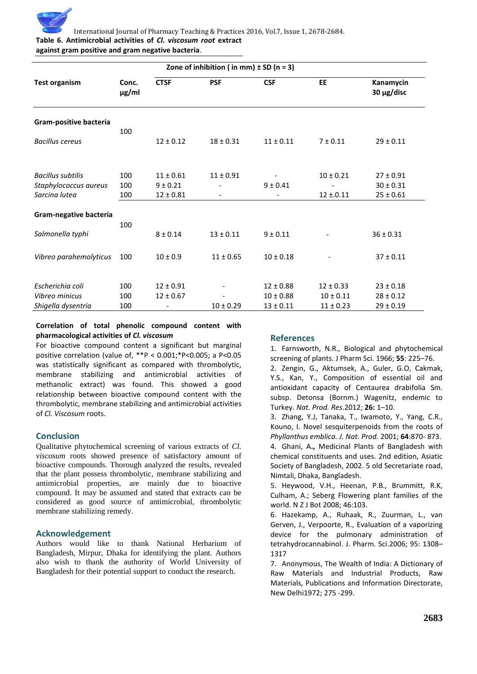

International Journal of Pharmacy Teaching & Practices 2016, Vol.7, Issue 1, 2678-2684. **Table 6. Antimicrobial activities of** *Cl. viscosum root* **extract** 

## **against gram positive and gram negative bacteria**.

| Zone of inhibition (in mm) $\pm$ SD (n = 3) |                     |                               |               |               |               |                                |
|---------------------------------------------|---------------------|-------------------------------|---------------|---------------|---------------|--------------------------------|
| <b>Test organism</b>                        | Conc.<br>$\mu$ g/ml | <b>CTSF</b>                   | <b>PSF</b>    | <b>CSF</b>    | <b>EE</b>     | Kanamycin<br>30 µg/disc        |
| Gram-positive bacteria                      |                     |                               |               |               |               |                                |
| <b>Bacillus cereus</b>                      | 100                 | $12 \pm 0.12$                 | $18 \pm 0.31$ | $11 \pm 0.11$ | $7 \pm 0.11$  | $29 \pm 0.11$                  |
| <b>Bacillus subtilis</b>                    | 100                 | $11 \pm 0.61$                 | $11 \pm 0.91$ |               | $10 \pm 0.21$ | $27 \pm 0.91$                  |
| Staphylococcus aureus<br>Sarcina lutea      | 100<br>100          | $9 \pm 0.21$<br>$12 \pm 0.81$ |               | $9 \pm 0.41$  | $12 \pm 0.11$ | $30 \pm 0.31$<br>$25 \pm 0.61$ |
|                                             |                     |                               |               |               |               |                                |
| Gram-negative bacteria                      | 100                 |                               |               |               |               |                                |
| Salmonella typhi                            |                     | $8 \pm 0.14$                  | $13 \pm 0.11$ | $9 \pm 0.11$  |               | $36 \pm 0.31$                  |
| Vibreo parahemolyticus                      | 100                 | $10 \pm 0.9$                  | $11 \pm 0.65$ | $10 \pm 0.18$ |               | $37 \pm 0.11$                  |
| Escherichia coli                            | 100                 | $12 \pm 0.91$                 |               | $12 \pm 0.88$ | $12 \pm 0.33$ | $23 \pm 0.18$                  |
| Vibreo minicus                              | 100                 | $12 \pm 0.67$                 |               | $10 \pm 0.88$ | $10 \pm 0.11$ | $28 \pm 0.12$                  |
| Shigella dysentria                          | 100                 |                               | $10 \pm 0.29$ | $13 \pm 0.11$ | $11 \pm 0.23$ | $29 \pm 0.19$                  |

#### **Correlation of total phenolic compound content with pharmacological activities of** *Cl. viscosum*

For bioactive compound content a significant but marginal positive correlation (value of, \*\*P < 0.001;\*P<0.005; a P<0.05 was statistically significant as compared with thrombolytic, membrane stabilizing and antimicrobial activities of methanolic extract) was found. This showed a good relationship between bioactive compound content with the thrombolytic, membrane stabilizing and antimicrobial activities of *Cl. Viscosum* roots.

#### **Conclusion**

Qualitative phytochemical screening of various extracts of *Cl. viscosum* roots showed presence of satisfactory amount of bioactive compounds. Thorough analyzed the results, revealed that the plant possess thrombolytic, membrane stabilizing and antimicrobial properties, are mainly due to bioactive compound. It may be assumed and stated that extracts can be considered as good source of antimicrobial, thrombolytic membrane stabilizing remedy.

#### **Acknowledgement**

Authors would like to thank National Herbarium of Bangladesh, Mirpur, Dhaka for identifying the plant. Authors also wish to thank the authority of World University of Bangladesh for their potential support to conduct the research.

### **References**

1. Farnsworth, N.R., Biological and phytochemical screening of plants. J Pharm Sci. 1966; **55**: 225–76.

2. Zengin, G., Aktumsek, A., Guler, G.O, Cakmak, Y.S., Kan, Y., Composition of essential oil and antioxidant capacity of Centaurea drabifolia Sm. subsp. Detonsa (Bornm.) Wagenitz, endemic to Turkey. *Nat. Prod. Res*.2012; **26:** 1–10.

3. Zhang, Y.J, Tanaka, T., Iwamoto, Y., Yang, C.R., Kouno, I. Novel sesquiterpenoids from the roots of *Phyllanthus emblica. J. Nat. Prod.* 2001; **64**:870- 873. 4. Ghani, A**.,** Medicinal Plants of Bangladesh with chemical constituents and uses. 2nd edition, Asiatic Society of Bangladesh, 2002. 5 old Secretariate road, Nimtali, Dhaka, Bangladesh.

5. Heywood, V.H., Heenan, P.B., Brummitt, R.K, Culham, A.; Seberg Flowering plant families of the world. N Z J Bot 2008; 46:103.

6. Hazekamp, A., Ruhaak, R., Zuurman, L., van Gerven, J., Verpoorte, R., Evaluation of a vaporizing device for the pulmonary administration of tetrahydrocannabinol. J. Pharm. Sci.2006; 95: 1308– 1317

7. Anonymous, The Wealth of India: A Dictionary of Raw Materials and Industrial Products, Raw Materials, Publications and Information Directorate, New Delhi1972; 275 -299.